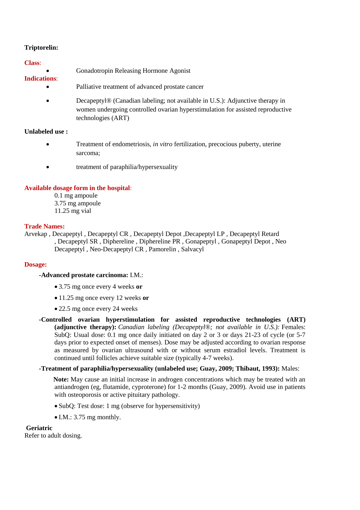## **Triptorelin:**

#### **Class**:

Gonadotropin Releasing Hormone Agonist

# **Indications**:

- Palliative treatment of advanced prostate cancer
- Decapeptyl<sup>®</sup> (Canadian labeling; not available in U.S.): Adjunctive therapy in women undergoing controlled ovarian hyperstimulation for assisted reproductive technologies (ART)

### **Unlabeled use :**

- Treatment of endometriosis, *in vitro* fertilization, precocious puberty, uterine sarcoma;
- treatment of paraphilia/hypersexuality

# **Available dosage form in the hospital**:

0.1 mg ampoule 3.75 mg ampoule 11.25 mg vial

#### **Trade Names:**

Arvekap , Decapeptyl , Decapeptyl CR , Decapeptyl Depot ,Decapeptyl LP , Decapeptyl Retard , Decapeptyl SR , Diphereline , Diphereline PR , Gonapeptyl , Gonapeptyl Depot , Neo Decapeptyl , Neo-Decapeptyl CR , Pamorelin , Salvacyl

#### **Dosage:**

#### **-Advanced prostate carcinoma:** I.M.:

- 3.75 mg once every 4 weeks **or**
- 11.25 mg once every 12 weeks **or**
- 22.5 mg once every 24 weeks
- **-Controlled ovarian hyperstimulation for assisted reproductive technologies (ART) (adjunctive therapy):** *Canadian labeling (Decapeptyl®; not available in U.S.):* Females: SubQ: Usual dose: 0.1 mg once daily initiated on day 2 or 3 or days 21-23 of cycle (or 5-7 days prior to expected onset of menses). Dose may be adjusted according to ovarian response as measured by ovarian ultrasound with or without serum estradiol levels. Treatment is continued until follicles achieve suitable size (typically 4-7 weeks).

## **-Treatment of paraphilia/hypersexuality (unlabeled use; Guay, 2009; Thibaut, 1993):** Males:

**Note:** May cause an initial increase in androgen concentrations which may be treated with an antiandrogen (eg, flutamide, cyproterone) for 1-2 months (Guay, 2009). Avoid use in patients with osteoporosis or active pituitary pathology.

- SubQ: Test dose: 1 mg (observe for hypersensitivity)
- $\bullet$  I.M.: 3.75 mg monthly.

# **Geriatric**

Refer to adult dosing.